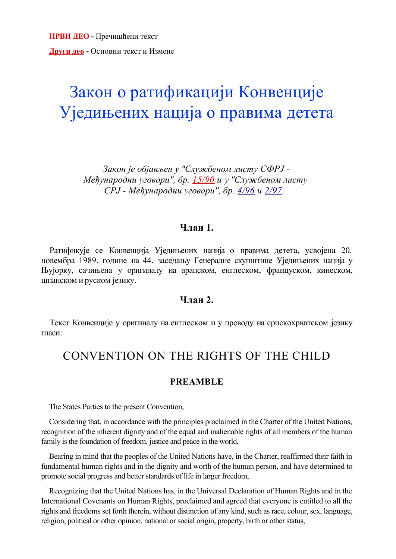# Закон о ратификацији Конвенције Уједињених нација о правима детета

*Закон је објављен у "Службеном листу СФРЈ - Међународни уговори", бр. 15/90 и у "Службеном листу СРЈ - Међународни уговори", бр. 4/96 и 2/97.*

# **Члан 1.**

Ратификује се Конвенција Уједињених нација о правима детета, усвојена 20. новембра 1989. године на 44. заседању Генералне скупштине Уједињених нација у Њујорку, сачињена у оригиналу на арапском, енглеском, француском, кинеском, шпанском и руском језику.

### **Члан 2.**

Текст Конвенције у оригиналу на енглеском и у преводу на српскохрватском језику гласи:

# CONVENTION ON THE RIGHTS OF THE CHILD

#### **PREAMBLE**

The States Parties to the present Convention,

Considering that, in accordance with the principles proclaimed in the Charter of the United Nations, recognition of the inherent dignity and of the equal and inalienable rights of all members of the human family is the foundation of freedom, justice and peace in the world.

Bearing in mind that the peoples of the United Nations have, in the Charter, reaffirmed their faith in fundamental human rights and in the dignity and worth of the human person, and have determined to promote social progress and better standards of life in larger freedom,

Recognizing that the United Nations has, in the Universal Declaration of Human Rights and in the International Covenants on Human Rights, proclaimed and agreed that everyone is entitled to all the rights and freedoms set forth therein, without distinction of any kind, such as race, colour, sex, language, religion, political or other opinion, national or social origin, property, birth or other status,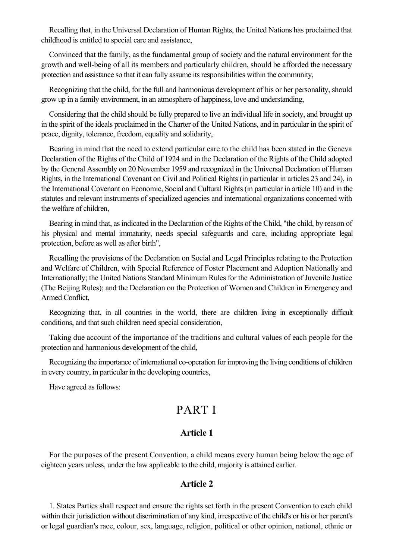Recalling that, in the Universal Declaration of Human Rights, the United Nations has proclaimed that childhood is entitled to special care and assistance,

Convinced that the family, as the fundamental group of society and the natural environment for the growth and well-being of all its members and particularly children, should be afforded the necessary protection and assistance so that it can fully assume its responsibilities within the community,

Recognizing that the child, for the full and harmonious development of his or her personality, should grow up in a family environment, in an atmosphere of happiness, love and understanding,

Considering that the child should be fully prepared to live an individual life in society, and brought up in the spirit of the ideals proclaimed in the Charter of the United Nations, and in particular in the spirit of peace, dignity, tolerance, freedom, equality and solidarity,

Bearing in mind that the need to extend particular care to the child has been stated in the Geneva Declaration of the Rights of the Child of 1924 and in the Declaration of the Rights of the Child adopted by the General Assembly on 20 November 1959 and recognized in the Universal Declaration of Human Rights, in the International Covenant on Civil and Political Rights (in particular in articles 23 and 24), in the International Covenant on Economic, Social and Cultural Rights (in particular in article 10) and in the statutes and relevant instruments of specialized agencies and international organizations concerned with the welfare of children,

Bearing in mind that, as indicated in the Declaration of the Rights of the Child, "the child, by reason of his physical and mental immaturity, needs special safeguards and care, including appropriate legal protection, before as well as after birth",

Recalling the provisions of the Declaration on Social and Legal Principles relating to the Protection and Welfare of Children, with Special Reference of Foster Placement and Adoption Nationally and Internationally; the United Nations Standard Minimum Rules for the Administration of Juvenile Justice (The Beijing Rules); and the Declaration on the Protection of Women and Children in Emergency and Armed Conflict,

Recognizing that, in all countries in the world, there are children living in exceptionally difficult conditions, and that such children need special consideration,

Taking due account of the importance of the traditions and cultural values of each people for the protection and harmonious development of the child,

Recognizing the importance of international co-operation for improving the living conditions of children in every country, in particular in the developing countries,

Have agreed as follows:

# PART I

# **Article 1**

For the purposes of the present Convention, a child means every human being below the age of eighteen years unless, under the law applicable to the child, majority is attained earlier.

#### **Article 2**

1. States Parties shall respect and ensure the rights set forth in the present Convention to each child within their jurisdiction without discrimination of any kind, irrespective of the child's or his or her parent's or legal guardian's race, colour, sex, language, religion, political or other opinion, national, ethnic or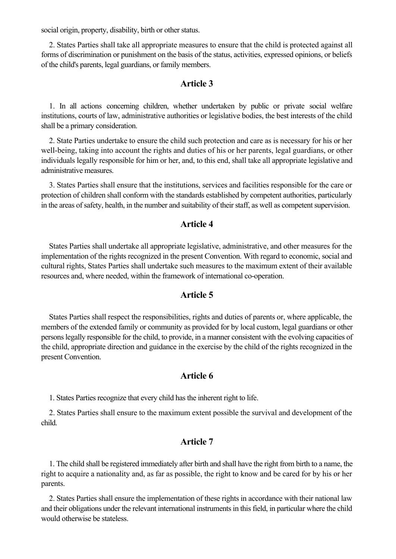social origin, property, disability, birth or other status.

2. States Parties shall take all appropriate measures to ensure that the child is protected against all forms of discrimination or punishment on the basis of the status, activities, expressed opinions, or beliefs of the child's parents, legal guardians, or family members.

#### **Article 3**

1. In all actions concerning children, whether undertaken by public or private social welfare institutions, courts of law, administrative authorities or legislative bodies, the best interests of the child shall be a primary consideration.

2. State Parties undertake to ensure the child such protection and care as is necessary for his or her well-being, taking into account the rights and duties of his or her parents, legal guardians, or other individuals legally responsible for him or her, and, to this end, shall take all appropriate legislative and administrative measures.

3. States Parties shall ensure that the institutions, services and facilities responsible for the care or protection of children shall conform with the standards established by competent authorities, particularly in the areas of safety, health, in the number and suitability of their staff, as well as competent supervision.

#### **Article 4**

States Parties shall undertake all appropriate legislative, administrative, and other measures for the implementation of the rights recognized in the present Convention. With regard to economic, social and cultural rights, States Parties shall undertake such measures to the maximum extent of their available resources and, where needed, within the framework of international co-operation.

#### **Article 5**

States Parties shall respect the responsibilities, rights and duties of parents or, where applicable, the members of the extended family or community as provided for by local custom, legal guardians or other persons legally responsible for the child, to provide, in a manner consistent with the evolving capacities of the child, appropriate direction and guidance in the exercise by the child of the rights recognized in the present Convention.

#### **Article 6**

1. States Parties recognize that every child has the inherent right to life.

2. States Parties shall ensure to the maximum extent possible the survival and development of the child.

# **Article 7**

1. The child shall be registered immediately after birth and shall have the right from birth to a name, the right to acquire a nationality and, as far as possible, the right to know and be cared for by his or her parents.

2. States Parties shall ensure the implementation of these rights in accordance with their national law and their obligations under the relevant international instruments in this field, in particular where the child would otherwise be stateless.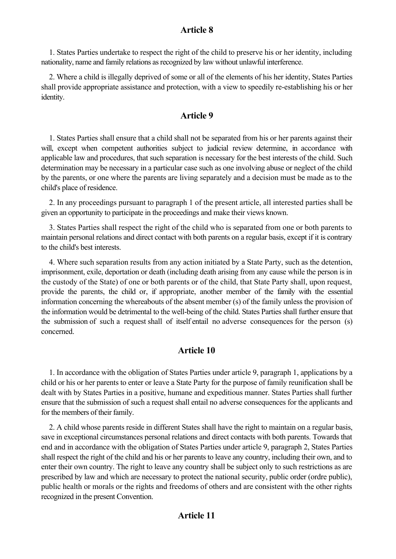# **Article 8**

1. States Parties undertake to respect the right of the child to preserve his or her identity, including nationality, name and family relations as recognized by law without unlawful interference.

2. Where a child is illegally deprived of some or all of the elements of his her identity, States Parties shall provide appropriate assistance and protection, with a view to speedily re-establishing his or her identity.

# **Article 9**

1. States Parties shall ensure that a child shall not be separated from his or her parents against their will, except when competent authorities subject to judicial review determine, in accordance with applicable law and procedures, that such separation is necessary for the best interests of the child. Such determination may be necessary in a particular case such as one involving abuse or neglect of the child by the parents, or one where the parents are living separately and a decision must be made as to the child's place of residence.

2. In any proceedings pursuant to paragraph 1 of the present article, all interested parties shall be given an opportunity to participate in the proceedings and make their views known.

3. States Parties shall respect the right of the child who is separated from one or both parents to maintain personal relations and direct contact with both parents on a regular basis, except if it is contrary to the child's best interests.

4. Where such separation results from any action initiated by a State Party, such as the detention, imprisonment, exile, deportation or death (including death arising from any cause while the person is in the custody of the State) of one or both parents or of the child, that State Party shall, upon request, provide the parents, the child or, if appropriate, another member of the family with the essential information concerning the whereabouts of the absent member (s) of the family unless the provision of the information would be detrimental to the well-being of the child. States Parties shall further ensure that the submission of such a request shall of itself entail no adverse consequences for the person (s) concerned.

# **Article 10**

1. In accordance with the obligation of States Parties under article 9, paragraph 1, applications by a child or his or her parents to enter or leave a State Party for the purpose of family reunification shall be dealt with by States Parties in a positive, humane and expeditious manner. States Parties shall further ensure that the submission of such a request shall entail no adverse consequences for the applicants and for the members of their family.

2. A child whose parents reside in different States shall have the right to maintain on a regular basis, save in exceptional circumstances personal relations and direct contacts with both parents. Towards that end and in accordance with the obligation of States Parties under article 9, paragraph 2, States Parties shall respect the right of the child and his or her parents to leave any country, including their own, and to enter their own country. The right to leave any country shall be subject only to such restrictions as are prescribed by law and which are necessary to protect the national security, public order (ordre public), public health or morals or the rights and freedoms of others and are consistent with the other rights recognized in the present Convention.

# **Article 11**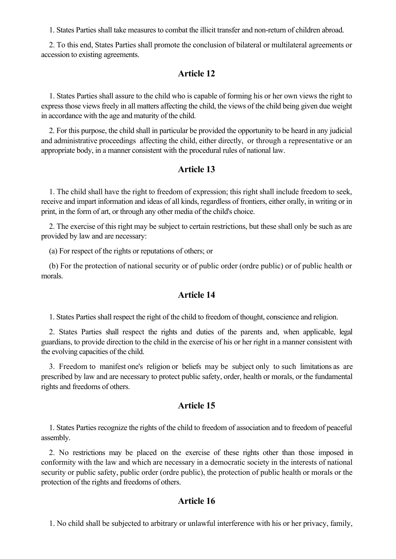1. States Parties shall take measures to combat the illicit transfer and non-return of children abroad.

2. To this end, States Parties shall promote the conclusion of bilateral or multilateral agreements or accession to existing agreements.

# **Article 12**

1. States Parties shall assure to the child who is capable of forming his or her own views the right to express those views freely in all matters affecting the child, the views of the child being given due weight in accordance with the age and maturity of the child.

2. For this purpose, the child shall in particular be provided the opportunity to be heard in any judicial and administrative proceedings affecting the child, either directly, or through a representative or an appropriate body, in a manner consistent with the procedural rules of national law.

# **Article 13**

1. The child shall have the right to freedom of expression; this right shall include freedom to seek, receive and impart information and ideas of all kinds, regardless of frontiers, either orally, in writing or in print, in the form of art, or through any other media of the child's choice.

2. The exercise of this right may be subject to certain restrictions, but these shall only be such as are provided by law and are necessary:

(a) For respect of the rights or reputations of others; or

(b) For the protection of national security or of public order (ordre public) or of public health or morals.

# **Article 14**

1. States Parties shall respect the right of the child to freedom of thought, conscience and religion.

2. States Parties shall respect the rights and duties of the parents and, when applicable, legal guardians, to provide direction to the child in the exercise of his or her right in a manner consistent with the evolving capacities of the child.

3. Freedom to manifest one's religion or beliefs may be subject only to such limitations as are prescribed by law and are necessary to protect public safety, order, health or morals, or the fundamental rights and freedoms of others.

# **Article 15**

1. States Parties recognize the rights of the child to freedom of association and to freedom of peaceful assembly.

2. No restrictions may be placed on the exercise of these rights other than those imposed in conformity with the law and which are necessary in a democratic society in the interests of national security or public safety, public order (ordre public), the protection of public health or morals or the protection of the rights and freedoms of others.

# **Article 16**

1. No child shall be subjected to arbitrary or unlawful interference with his or her privacy, family,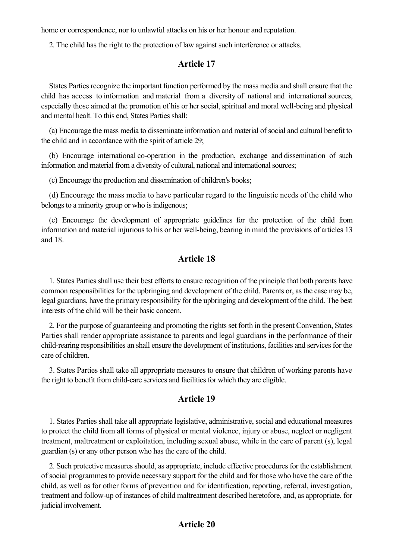home or correspondence, nor to unlawful attacks on his or her honour and reputation.

2. The child has the right to the protection of law against such interference or attacks.

#### **Article 17**

States Parties recognize the important function performed by the mass media and shall ensure that the child has access to information and material from a diversity of national and international sources, especially those aimed at the promotion of his or her social, spiritual and moral well-being and physical and mental healt. To this end, States Parties shall:

(a) Encourage the mass media to disseminate information and material of social and cultural benefit to the child and in accordance with the spirit of article 29;

(b) Encourage international co-operation in the production, exchange and dissemination of such information and material from a diversity of cultural, national and international sources;

(c) Encourage the production and dissemination of children's books;

(d) Encourage the mass media to have particular regard to the linguistic needs of the child who belongs to a minority group or who is indigenous;

(e) Encourage the development of appropriate guidelines for the protection of the child from information and material injurious to his or her well-being, bearing in mind the provisions of articles 13 and 18.

# **Article 18**

1. States Parties shall use their best efforts to ensure recognition of the principle that both parents have common responsibilities for the upbringing and development of the child. Parents or, as the case may be, legal guardians, have the primary responsibility for the upbringing and development of the child. The best interests of the child will be their basic concern.

2. For the purpose of guaranteeing and promoting the rights set forth in the present Convention, States Parties shall render appropriate assistance to parents and legal guardians in the performance of their child-rearing responsibilities an shall ensure the development of institutions, facilities and services for the care of children.

3. States Parties shall take all appropriate measures to ensure that children of working parents have the right to benefit from child-care services and facilities for which they are eligible.

# **Article 19**

1. States Parties shall take all appropriate legislative, administrative, social and educational measures to protect the child from all forms of physical or mental violence, injury or abuse, neglect or negligent treatment, maltreatment or exploitation, including sexual abuse, while in the care of parent (s), legal guardian (s) or any other person who has the care of the child.

2. Such protective measures should, as appropriate, include effective procedures for the establishment of social programmes to provide necessary support for the child and for those who have the care of the child, as well as for other forms of prevention and for identification, reporting, referral, investigation, treatment and follow-up of instances of child maltreatment described heretofore, and, as appropriate, for judicial involvement.

# **Article 20**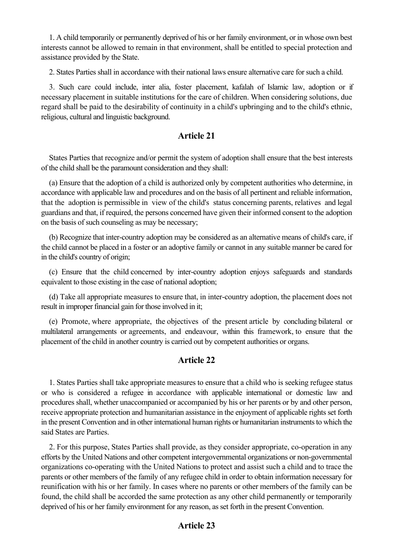1. A child temporarily or permanently deprived of his or her family environment, or in whose own best interests cannot be allowed to remain in that environment, shall be entitled to special protection and assistance provided by the State.

2. States Parties shall in accordance with their national laws ensure alternative care for such a child.

3. Such care could include, inter alia, foster placement, kafalah of Islamic law, adoption or if necessary placement in suitable institutions for the care of children. When considering solutions, due regard shall be paid to the desirability of continuity in a child's upbringing and to the child's ethnic, religious, cultural and linguistic background.

# **Article 21**

States Parties that recognize and/or permit the system of adoption shall ensure that the best interests of the child shall be the paramount consideration and they shall:

(a) Ensure that the adoption of a child is authorized only by competent authorities who determine, in accordance with applicable law and procedures and on the basis of all pertinent and reliable information, that the adoption is permissible in view of the child's status concerning parents, relatives and legal guardians and that, if required, the persons concerned have given their informed consent to the adoption on the basis of such counseling as may be necessary;

(b) Recognize that inter-country adoption may be considered as an alternative means of child's care, if the child cannot be placed in a foster or an adoptive family or cannot in any suitable manner be cared for in the child's country of origin;

(c) Ensure that the child concerned by inter-country adoption enjoys safeguards and standards equivalent to those existing in the case of national adoption;

(d) Take all appropriate measures to ensure that, in inter-country adoption, the placement does not result in improper financial gain for those involved in it;

(e) Promote, where appropriate, the objectives of the present article by concluding bilateral or multilateral arrangements or agreements, and endeavour, within this framework, to ensure that the placement of the child in another country is carried out by competent authorities or organs.

#### **Article 22**

1. States Parties shall take appropriate measures to ensure that a child who is seeking refugee status or who is considered a refugee in accordance with applicable international or domestic law and procedures shall, whether unaccompanied or accompanied by his or her parents or by and other person, receive appropriate protection and humanitarian assistance in the enjoyment of applicable rights set forth in the present Convention and in other international human rights or humanitarian instruments to which the said States are Parties.

2. For this purpose, States Parties shall provide, as they consider appropriate, co-operation in any efforts by the United Nations and other competent intergovernmental organizations or non-governmental organizations co-operating with the United Nations to protect and assist such a child and to trace the parents or other members of the family of any refugee child in order to obtain information necessary for reunification with his or her family. In cases where no parents or other members of the family can be found, the child shall be accorded the same protection as any other child permanently or temporarily deprived of his or her family environment for any reason, as set forth in the present Convention.

# **Article 23**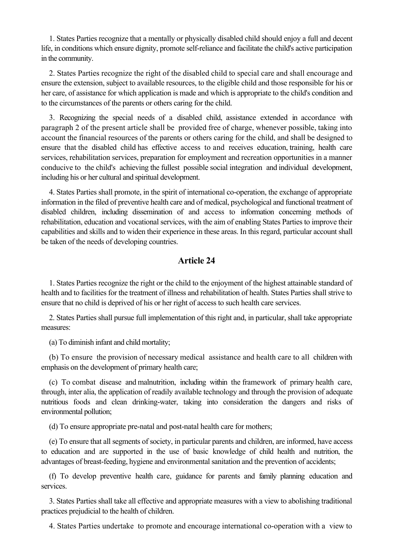1. States Parties recognize that a mentally or physically disabled child should enjoy a full and decent life, in conditions which ensure dignity, promote self-reliance and facilitate the child's active participation in the community.

2. States Parties recognize the right of the disabled child to special care and shall encourage and ensure the extension, subject to available resources, to the eligible child and those responsible for his or her care, of assistance for which application is made and which is appropriate to the child's condition and to the circumstances of the parents or others caring for the child.

3. Recognizing the special needs of a disabled child, assistance extended in accordance with paragraph 2 of the present article shall be provided free of charge, whenever possible, taking into account the financial resources of the parents or others caring for the child, and shall be designed to ensure that the disabled child has effective access to and receives education, training, health care services, rehabilitation services, preparation for employment and recreation opportunities in a manner conducive to the child's achieving the fullest possible social integration and individual development, including his or her cultural and spiritual development.

4. States Parties shall promote, in the spirit of international co-operation, the exchange of appropriate information in the filed of preventive health care and of medical, psychological and functional treatment of disabled children, including dissemination of and access to information concerning methods of rehabilitation, education and vocational services, with the aim of enabling States Parties to improve their capabilities and skills and to widen their experience in these areas. In this regard, particular account shall be taken of the needs of developing countries.

# **Article 24**

1. States Parties recognize the right or the child to the enjoyment of the highest attainable standard of health and to facilities for the treatment of illness and rehabilitation of health. States Parties shall strive to ensure that no child is deprived of his or her right of access to such health care services.

2. States Parties shall pursue full implementation of this right and, in particular, shall take appropriate measures:

(a) To diminish infant and child mortality;

(b) To ensure the provision of necessary medical assistance and health care to all children with emphasis on the development of primary health care;

(c) To combat disease and malnutrition, including within the framework of primary health care, through, inter alia, the application of readily available technology and through the provision of adequate nutritious foods and clean drinking-water, taking into consideration the dangers and risks of environmental pollution;

(d) To ensure appropriate pre-natal and post-natal health care for mothers;

(e) To ensure that all segments of society, in particular parents and children, are informed, have access to education and are supported in the use of basic knowledge of child health and nutrition, the advantages of breast-feeding, hygiene and environmental sanitation and the prevention of accidents;

(f) To develop preventive health care, guidance for parents and family planning education and services.

3. States Parties shall take all effective and appropriate measures with a view to abolishing traditional practices prejudicial to the health of children.

4. States Parties undertake to promote and encourage international co-operation with a view to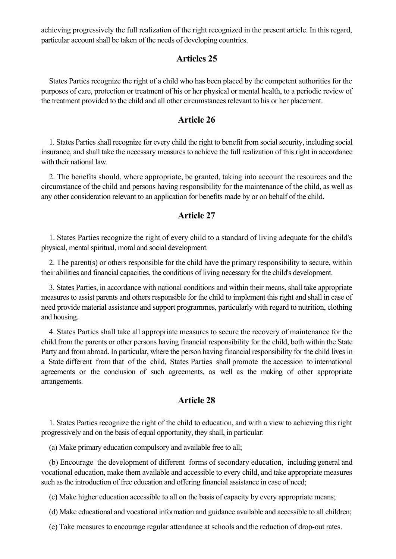achieving progressively the full realization of the right recognized in the present article. In this regard, particular account shall be taken of the needs of developing countries.

#### **Articles 25**

States Parties recognize the right of a child who has been placed by the competent authorities for the purposes of care, protection or treatment of his or her physical or mental health, to a periodic review of the treatment provided to the child and all other circumstances relevant to his or her placement.

# **Article 26**

1. States Parties shall recognize for every child the right to benefit from social security, including social insurance, and shall take the necessary measures to achieve the full realization of this right in accordance with their national law.

2. The benefits should, where appropriate, be granted, taking into account the resources and the circumstance of the child and persons having responsibility for the maintenance of the child, as well as any other consideration relevant to an application for benefits made by or on behalf of the child.

#### **Article 27**

1. States Parties recognize the right of every child to a standard of living adequate for the child's physical, mental spiritual, moral and social development.

2. The parent(s) or others responsible for the child have the primary responsibility to secure, within their abilities and financial capacities, the conditions of living necessary for the child's development.

3. States Parties, in accordance with national conditions and within their means, shall take appropriate measures to assist parents and others responsible for the child to implement this right and shall in case of need provide material assistance and support programmes, particularly with regard to nutrition, clothing and housing.

4. States Parties shall take all appropriate measures to secure the recovery of maintenance for the child from the parents or other persons having financial responsibility for the child, both within the State Party and from abroad. In particular, where the person having financial responsibility for the child lives in a State different from that of the child, States Parties shall promote the accession to international agreements or the conclusion of such agreements, as well as the making of other appropriate arrangements.

# **Article 28**

1. States Parties recognize the right of the child to education, and with a view to achieving this right progressively and on the basis of equal opportunity, they shall, in particular:

(a) Make primary education compulsory and available free to all;

(b) Encourage the development of different forms of secondary education, including general and vocational education, make them available and accessible to every child, and take appropriate measures such as the introduction of free education and offering financial assistance in case of need;

(c) Make higher education accessible to all on the basis of capacity by every appropriate means;

(d) Make educational and vocational information and guidance available and accessible to all children;

(e) Take measures to encourage regular attendance at schools and the reduction of drop-out rates.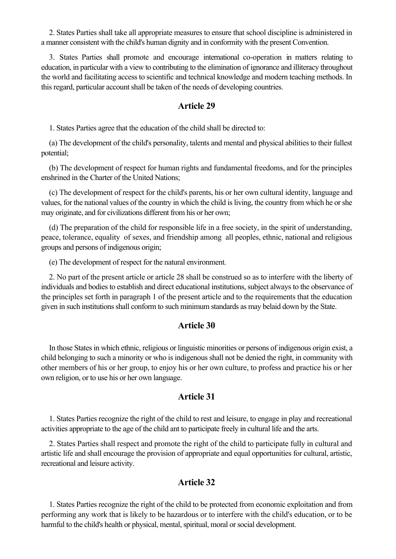2. States Parties shall take all appropriate measures to ensure that school discipline is administered in a manner consistent with the child's human dignity and in conformity with the present Convention.

3. States Parties shall promote and encourage international co-operation in matters relating to education, in particular with a view to contributing to the elimination of ignorance and illiteracy throughout the world and facilitating access to scientific and technical knowledge and modern teaching methods. In this regard, particular account shall be taken of the needs of developing countries.

# **Article 29**

1. States Parties agree that the education of the child shall be directed to:

(a) The development of the child's personality, talents and mental and physical abilities to their fullest potential;

(b) The development of respect for human rights and fundamental freedoms, and for the principles enshrined in the Charter of the United Nations;

(c) The development of respect for the child's parents, his or her own cultural identity, language and values, for the national values of the country in which the child is living, the country from which he or she may originate, and for civilizations different from his or her own;

(d) The preparation of the child for responsible life in a free society, in the spirit of understanding, peace, tolerance, equality of sexes, and friendship among all peoples, ethnic, national and religious groups and persons of indigenous origin;

(e) The development of respect for the natural environment.

2. No part of the present article or article 28 shall be construed so as to interfere with the liberty of individuals and bodies to establish and direct educational institutions, subject always to the observance of the principles set forth in paragraph 1 of the present article and to the requirements that the education given in such institutions shall conform to such minimum standards as may belaid down by the State.

# **Article 30**

In those States in which ethnic, religious or linguistic minorities or persons of indigenous origin exist, a child belonging to such a minority or who is indigenous shall not be denied the right, in community with other members of his or her group, to enjoy his or her own culture, to profess and practice his or her own religion, or to use his or her own language.

#### **Article 31**

1. States Parties recognize the right of the child to rest and leisure, to engage in play and recreational activities appropriate to the age of the child ant to participate freely in cultural life and the arts.

2. States Parties shall respect and promote the right of the child to participate fully in cultural and artistic life and shall encourage the provision of appropriate and equal opportunities for cultural, artistic, recreational and leisure activity.

#### **Article 32**

1. States Parties recognize the right of the child to be protected from economic exploitation and from performing any work that is likely to be hazardous or to interfere with the child's education, or to be harmful to the child's health or physical, mental, spiritual, moral or social development.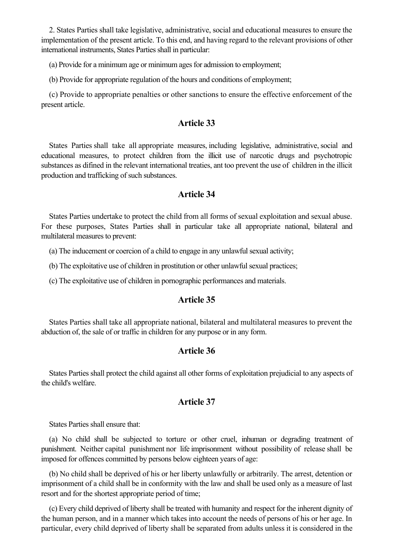2. States Parties shall take legislative, administrative, social and educational measures to ensure the implementation of the present article. To this end, and having regard to the relevant provisions of other international instruments, States Parties shall in particular:

(a) Provide for a minimum age or minimum ages for admission to employment;

(b) Provide for appropriate regulation of the hours and conditions of employment;

(c) Provide to appropriate penalties or other sanctions to ensure the effective enforcement of the present article.

## **Article 33**

States Parties shall take all appropriate measures, including legislative, administrative, social and educational measures, to protect children from the illicit use of narcotic drugs and psychotropic substances as difined in the relevant international treaties, ant too prevent the use of children in the illicit production and trafficking of such substances.

# **Article 34**

States Parties undertake to protect the child from all forms of sexual exploitation and sexual abuse. For these purposes, States Parties shall in particular take all appropriate national, bilateral and multilateral measures to prevent:

(a) The inducement or coercion of a child to engage in any unlawful sexual activity;

(b) The exploitative use of children in prostitution or other unlawful sexual practices;

(c) The exploitative use of children in pornographic performances and materials.

#### **Article 35**

States Parties shall take all appropriate national, bilateral and multilateral measures to prevent the abduction of, the sale of or traffic in children for any purpose or in any form.

#### **Article 36**

States Parties shall protect the child against all other forms of exploitation prejudicial to any aspects of the child's welfare.

# **Article 37**

States Parties shall ensure that:

(a) No child shall be subjected to torture or other cruel, inhuman or degrading treatment of punishment. Neither capital punishment nor life imprisonment without possibility of release shall be imposed for offences committed by persons below eighteen years of age:

(b) No child shall be deprived of his or her liberty unlawfully or arbitrarily. The arrest, detention or imprisonment of a child shall be in conformity with the law and shall be used only as a measure of last resort and for the shortest appropriate period of time;

(c) Every child deprived of liberty shall be treated with humanity and respect for the inherent dignity of the human person, and in a manner which takes into account the needs of persons of his or her age. In particular, every child deprived of liberty shall be separated from adults unless it is considered in the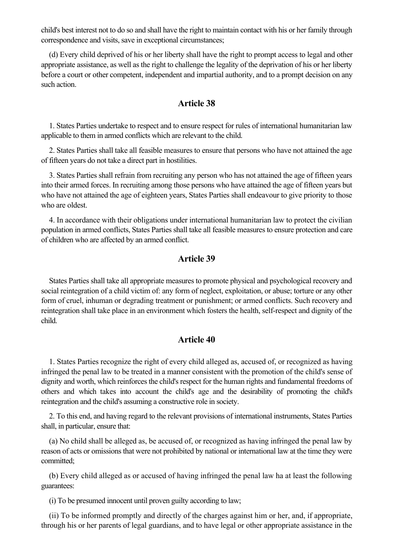child's best interest not to do so and shall have the right to maintain contact with his or her family through correspondence and visits, save in exceptional circumstances;

(d) Every child deprived of his or her liberty shall have the right to prompt access to legal and other appropriate assistance, as well as the right to challenge the legality of the deprivation of his or her liberty before a court or other competent, independent and impartial authority, and to a prompt decision on any such action.

# **Article 38**

1. States Parties undertake to respect and to ensure respect for rules of international humanitarian law applicable to them in armed conflicts which are relevant to the child.

2. States Parties shall take all feasible measures to ensure that persons who have not attained the age of fifteen years do not take a direct part in hostilities.

3. States Parties shall refrain from recruiting any person who has not attained the age of fifteen years into their armed forces. In recruiting among those persons who have attained the age of fifteen years but who have not attained the age of eighteen years, States Parties shall endeavour to give priority to those who are oldest.

4. In accordance with their obligations under international humanitarian law to protect the civilian population in armed conflicts, States Parties shall take all feasible measures to ensure protection and care of children who are affected by an armed conflict.

# **Article 39**

States Parties shall take all appropriate measures to promote physical and psychological recovery and social reintegration of a child victim of: any form of neglect, exploitation, or abuse; torture or any other form of cruel, inhuman or degrading treatment or punishment; or armed conflicts. Such recovery and reintegration shall take place in an environment which fosters the health, self-respect and dignity of the child.

# **Article 40**

1. States Parties recognize the right of every child alleged as, accused of, or recognized as having infringed the penal law to be treated in a manner consistent with the promotion of the child's sense of dignity and worth, which reinforces the child's respect for the human rights and fundamental freedoms of others and which takes into account the child's age and the desirability of promoting the child's reintegration and the child's assuming a constructive role in society.

2. To this end, and having regard to the relevant provisions of international instruments, States Parties shall, in particular, ensure that:

(a) No child shall be alleged as, be accused of, or recognized as having infringed the penal law by reason of acts or omissions that were not prohibited by national or international law at the time they were committed;

(b) Every child alleged as or accused of having infringed the penal law ha at least the following guarantees:

(i) To be presumed innocent until proven guilty according to law;

(ii) To be informed promptly and directly of the charges against him or her, and, if appropriate, through his or her parents of legal guardians, and to have legal or other appropriate assistance in the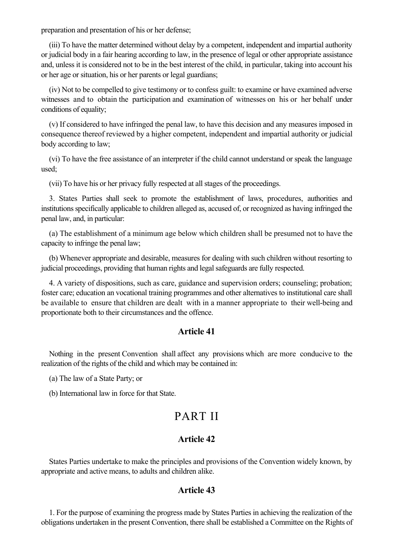preparation and presentation of his or her defense;

(iii) To have the matter determined without delay by a competent, independent and impartial authority or judicial body in a fair hearing according to law, in the presence of legal or other appropriate assistance and, unless it is considered not to be in the best interest of the child, in particular, taking into account his or her age or situation, his or her parents or legal guardians;

(iv) Not to be compelled to give testimony or to confess guilt: to examine or have examined adverse witnesses and to obtain the participation and examination of witnesses on his or her behalf under conditions of equality;

(v) If considered to have infringed the penal law, to have this decision and any measures imposed in consequence thereof reviewed by a higher competent, independent and impartial authority or judicial body according to law;

(vi) To have the free assistance of an interpreter if the child cannot understand or speak the language used;

(vii) To have his or her privacy fully respected at all stages of the proceedings.

3. States Parties shall seek to promote the establishment of laws, procedures, authorities and institutions specifically applicable to children alleged as, accused of, or recognized as having infringed the penal law, and, in particular:

(a) The establishment of a minimum age below which children shall be presumed not to have the capacity to infringe the penal law;

(b) Whenever appropriate and desirable, measures for dealing with such children without resorting to judicial proceedings, providing that human rights and legal safeguards are fully respected.

4. A variety of dispositions, such as care, guidance and supervision orders; counseling; probation; foster care; education an vocational training programmes and other alternatives to institutional care shall be available to ensure that children are dealt with in a manner appropriate to their well-being and proportionate both to their circumstances and the offence.

# **Article 41**

Nothing in the present Convention shall affect any provisions which are more conducive to the realization of the rights of the child and which may be contained in:

(a) The law of a State Party; or

(b) International law in force for that State.

# PART II

#### **Article 42**

States Parties undertake to make the principles and provisions of the Convention widely known, by appropriate and active means, to adults and children alike.

# **Article 43**

1. For the purpose of examining the progress made by States Parties in achieving the realization of the obligations undertaken in the present Convention, there shall be established a Committee on the Rights of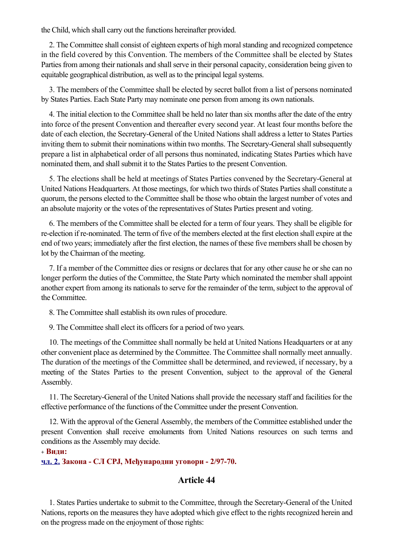the Child, which shall carry out the functions hereinafter provided.

2. The Committee shall consist of eighteen experts of high moral standing and recognized competence in the field covered by this Convention. The members of the Committee shall be elected by States Parties from among their nationals and shall serve in their personal capacity, consideration being given to equitable geographical distribution, as well as to the principal legal systems.

3. The members of the Committee shall be elected by secret ballot from a list of persons nominated by States Parties. Each State Party may nominate one person from among its own nationals.

4. The initial election to the Committee shall be held no later than six months after the date of the entry into force of the present Convention and thereafter every second year. At least four months before the date of each election, the Secretary-General of the United Nations shall address a letter to States Parties inviting them to submit their nominations within two months. The Secretary-General shall subsequently prepare a list in alphabetical order of all persons thus nominated, indicating States Parties which have nominated them, and shall submit it to the States Parties to the present Convention.

5. The elections shall be held at meetings of States Parties convened by the Secretary-General at United Nations Headquarters. At those meetings, for which two thirds of States Parties shall constitute a quorum, the persons elected to the Committee shall be those who obtain the largest number of votes and an absolute majority or the votes of the representatives of States Parties present and voting.

6. The members of the Committee shall be elected for a term of four years. They shall be eligible for re-election if re-nominated. The term of five of the members elected at the first election shall expire at the end of two years; immediately after the first election, the names of these five members shall be chosen by lot by the Chairman of the meeting.

7. If a member of the Committee dies or resigns or declares that for any other cause he or she can no longer perform the duties of the Committee, the State Party which nominated the member shall appoint another expert from among its nationals to serve for the remainder of the term, subject to the approval of the Committee.

8. The Committee shall establish its own rules of procedure.

9. The Committee shall elect its officers for a period of two years.

10. The meetings of the Committee shall normally be held at United Nations Headquarters or at any other convenient place as determined by the Committee. The Committee shall normally meet annually. The duration of the meetings of the Committee shall be determined, and reviewed, if necessary, by a meeting of the States Parties to the present Convention, subject to the approval of the General Assembly.

11. The Secretary-General of the United Nations shall provide the necessary staff and facilities for the effective performance of the functions of the Committee under the present Convention.

12. With the approval of the General Assembly, the members of the Committee established under the present Convention shall receive emoluments from United Nations resources on such terms and conditions as the Assembly may decide.

#### **<sup>+</sup> Види:**

**чл. 2. Закона - СЛ СРЈ, Међународни уговори - 2/97-70.**

# **Article 44**

1. States Parties undertake to submit to the Committee, through the Secretary-General of the United Nations, reports on the measures they have adopted which give effect to the rights recognized herein and on the progress made on the enjoyment of those rights: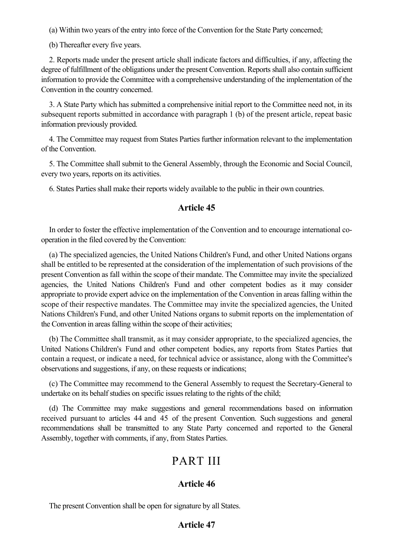(a) Within two years of the entry into force of the Convention for the State Party concerned;

(b) Thereafter every five years.

2. Reports made under the present article shall indicate factors and difficulties, if any, affecting the degree of fulfillment of the obligations under the present Convention. Reports shall also contain sufficient information to provide the Committee with a comprehensive understanding of the implementation of the Convention in the country concerned.

3. A State Party which has submitted a comprehensive initial report to the Committee need not, in its subsequent reports submitted in accordance with paragraph 1 (b) of the present article, repeat basic information previously provided.

4. The Committee may request from States Parties further information relevant to the implementation of the Convention.

5. The Committee shall submit to the General Assembly, through the Economic and Social Council, every two years, reports on its activities.

6. States Parties shall make their reports widely available to the public in their own countries.

#### **Article 45**

In order to foster the effective implementation of the Convention and to encourage international cooperation in the filed covered by the Convention:

(a) The specialized agencies, the United Nations Children's Fund, and other United Nations organs shall be entitled to be represented at the consideration of the implementation of such provisions of the present Convention as fall within the scope of their mandate. The Committee may invite the specialized agencies, the United Nations Children's Fund and other competent bodies as it may consider appropriate to provide expert advice on the implementation of the Convention in areas falling within the scope of their respective mandates. The Committee may invite the specialized agencies, the United Nations Children's Fund, and other United Nations organs to submit reports on the implementation of the Convention in areas falling within the scope of their activities;

(b) The Committee shall transmit, as it may consider appropriate, to the specialized agencies, the United Nations Children's Fund and other competent bodies, any reports from States Parties that contain a request, or indicate a need, for technical advice or assistance, along with the Committee's observations and suggestions, if any, on these requests or indications;

(c) The Committee may recommend to the General Assembly to request the Secretary-General to undertake on its behalf studies on specific issues relating to the rights of the child;

(d) The Committee may make suggestions and general recommendations based on information received pursuant to articles 44 and 45 of the present Convention. Such suggestions and general recommendations shall be transmitted to any State Party concerned and reported to the General Assembly, together with comments, if any, from States Parties.

# PART III

# **Article 46**

The present Convention shall be open for signature by all States.

### **Article 47**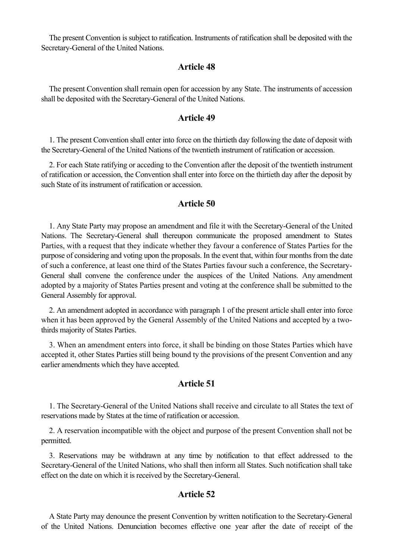The present Convention is subject to ratification. Instruments of ratification shall be deposited with the Secretary-General of the United Nations.

#### **Article 48**

The present Convention shall remain open for accession by any State. The instruments of accession shall be deposited with the Secretary-General of the United Nations.

#### **Article 49**

1. The present Convention shall enter into force on the thirtieth day following the date of deposit with the Secretary-General of the United Nations of the twentieth instrument of ratification or accession.

2. For each State ratifying or acceding to the Convention after the deposit of the twentieth instrument of ratification or accession, the Convention shall enter into force on the thirtieth day after the deposit by such State of its instrument of ratification or accession.

### **Article 50**

1. Any State Party may propose an amendment and file it with the Secretary-General of the United Nations. The Secretary-General shall thereupon communicate the proposed amendment to States Parties, with a request that they indicate whether they favour a conference of States Parties for the purpose of considering and voting upon the proposals. In the event that, within four months from the date of such a conference, at least one third of the States Parties favour such a conference, the Secretary-General shall convene the conference under the auspices of the United Nations. Any amendment adopted by a majority of States Parties present and voting at the conference shall be submitted to the General Assembly for approval.

2. An amendment adopted in accordance with paragraph 1 of the present article shall enter into force when it has been approved by the General Assembly of the United Nations and accepted by a twothirds majority of States Parties.

3. When an amendment enters into force, it shall be binding on those States Parties which have accepted it, other States Parties still being bound ty the provisions of the present Convention and any earlier amendments which they have accepted.

#### **Article 51**

1. The Secretary-General of the United Nations shall receive and circulate to all States the text of reservations made by States at the time of ratification or accession.

2. A reservation incompatible with the object and purpose of the present Convention shall not be permitted.

3. Reservations may be withdrawn at any time by notification to that effect addressed to the Secretary-General of the United Nations, who shall then inform all States. Such notification shall take effect on the date on which it is received by the Secretary-General.

### **Article 52**

A State Party may denounce the present Convention by written notification to the Secretary-General of the United Nations. Denunciation becomes effective one year after the date of receipt of the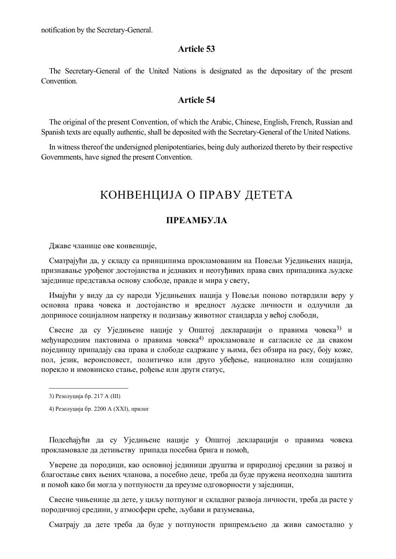notification by the Secretary-General.

#### **Article 53**

The Secretary-General of the United Nations is designated as the depositary of the present **Convention** 

# **Article 54**

The original of the present Convention, of which the Arabic, Chinese, English, French, Russian and Spanish texts are equally authentic, shall be deposited with the Secretary-General of the United Nations.

In witness thereof the undersigned plenipotentiaries, being duly authorized thereto by their respective Governments, have signed the present Convention.

# КОНВЕНЦИЈА О ПРАВУ ДЕТЕТА

### **ПРЕАМБУЛА**

Джаве чланице ове конвенције,

Сматрајући да, у складу са принципима прокламованим на Повељи Уједињених нација, признавање урођеног достојанства и једнаких и неотуђивих права свих припадника људске заједнице представља основу слободе, правде и мира у свету,

Имајући у виду да су народи Уједињених нација у Повељи поново потврдили веру у основна права човека и достојанство и вредност људске личности и одлучили да доприносе социјалном напретку и подизању животног стандарда у већој слободи,

Свесне да су Уједињене нације у Општој декларацији о правима човека<sup>3)</sup> и међународним пактовима о правима човека<sup>4)</sup> прокламовале и сагласиле се да сваком појединцу припадају сва права и слободе садржане у њима, без обзира на расу, боју коже, пол, језик, вероисповест, политичко или друго убеђење, национално или социјално порекло и имовинско стање, рођење или други статус,

\_\_\_\_\_\_\_\_\_\_\_\_\_\_\_\_\_\_\_\_

4) Резолуција бр. 2200 А (XXI), прилог

Подсећајући да су Уједињене нације у Општој декларацији о правима човека прокламовале да детињству припада посебна брига и помоћ,

Уверене да породици, као основној јединици друштва и природној средини за развој и благостање свих њених чланова, а посебно деце, треба да буде пружена неопходна заштита и помоћ како би могла у потпуности да преузме одговорности у заједници,

Свесне чињенице да дете, у циљу потпуног и складног развоја личности, треба да расте у породичној средини, у атмосфери среће, љубави и разумевања,

Сматрају да дете треба да буде у потпуности припремљено да живи самостално у

<sup>3)</sup> Резолуција бр. 217 А (III)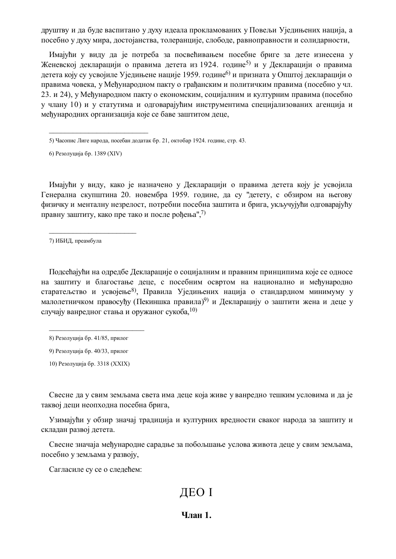друштву и да буде васпитано у духу идеала прокламованих у Повељи Уједињених нација, а посебно у духу мира, достојанства, толеранције, слободе, равноправности и солидарности,

Имајући у виду да је потреба за посвећивањем посебне бриге за дете изнесена у Женевској декларацији о правима детета из 1924. године<sup>5)</sup> и у Декларацији о правима детета коју су усвојиле Уједињене нације 1959. године<sup>6)</sup> и призната у Општој декларацији о правима човека, у Међународном пакту о грађанским и политичким правима (посебно у чл. 23. и 24), у Међународном пакту о економским, социјалним и културним правима (посебно у члану 10) и у статутима и одговарајућим инструментима специјализованих агенција и међународних организација које се баве заштитом деце,

\_\_\_\_\_\_\_\_\_\_\_\_\_\_\_\_\_\_\_\_\_\_\_\_\_

Имајући у виду, како је назначено у Декларацији о правима детета коју је усвојила Генерална скупштина 20. новембра 1959. године, да су "детету, с обзиром на његову физичку и менталну незрелост, потребни посебна заштита и брига, укључујући одговарајућу правну заштиту, како пре тако и после рођења", $7$ )

7) ИБИД, преамбула

 $\overline{\mathcal{L}}$  , which is a set of the set of the set of the set of the set of the set of the set of the set of the set of the set of the set of the set of the set of the set of the set of the set of the set of the set of th

Подсећајући на одредбе Декларације о социјалним и правним принципима које се односе на заштиту и благостање деце, с посебним освртом на национално и међународно старатељство и усвојење<sup>8)</sup>, Правила Уједињених нација о стандардном минимуму у малолетничком правосуђу (Пекиншка правила)<sup>9)</sup> и Декларацију о заштити жена и деце у случају ванредног стања и оружаног сукоба, 10)

 $\overline{\mathcal{L}}$  , which is a set of the set of the set of the set of the set of the set of the set of the set of the set of the set of the set of the set of the set of the set of the set of the set of the set of the set of th

10) Резолуција бр. 3318 (XXIX)

Свесне да у свим земљама света има деце која живе у ванредно тешким условима и да је таквој деци неопходна посебна брига,

Узимајући у обзир значај традиција и културних вредности сваког народа за заштиту и складан развој детета.

Свесне значаја међународне сарадње за побољшање услова живота деце у свим земљама, посебно у земљама у развоју,

Сагласиле су се о следећем:

# ДЕО I

# **Члан 1.**

<sup>5)</sup> Часопис Лиге народа, посебан додатак бр. 21, октобар 1924. године, стр. 43.

<sup>6)</sup> Резолуција бр. 1389 (XIV)

<sup>8)</sup> Резолуција бр. 41/85, прилог

<sup>9)</sup> Резолуција бр. 40/33, прилог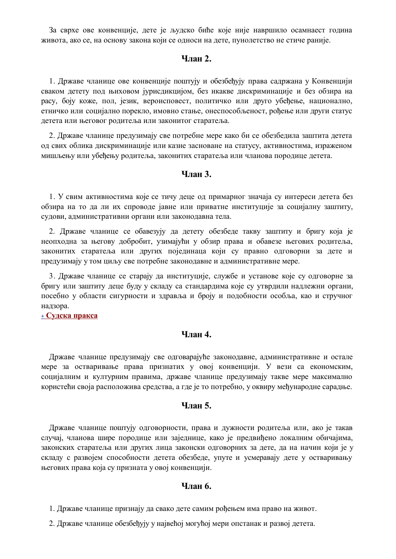За сврхе ове конвенције, дете је људско биће које није навршило осамнаест година живота, ако се, на основу закона који се односи на дете, пунолетство не стиче раније.

#### **Члан 2.**

1. Државе чланице ове конвенције поштују и обезбеђују права садржана у Конвенцији сваком детету под њиховом јурисдикцијом, без икакве дискриминације и без обзира на расу, боју коже, пол, језик, вероисповест, политичко или друго убеђење, национално, етничко или социјално порекло, имовно стање, онеспособљеност, рођење или други статус детета или његовог родитеља или законитог старатеља.

2. Државе чланице предузимају све потребне мере како би се обезбедила заштита детета од свих облика дискриминације или казне засноване на статусу, активностима, израженом мишљењу или убеђењу родитеља, законитих старатеља или чланова породице детета.

#### **Члан 3.**

1. У свим активностима које се тичу деце од примарног значаја су интереси детета без обзира на то да ли их спроводе јавне или приватне институције за социјалну заштиту, судови, административни органи или законодавна тела.

2. Државе чланице се обавезују да детету обезбеде такву заштиту и бригу која је неопходна за његову добробит, узимајући у обзир права и обавезе његових родитеља, законитих старатеља или других појединаца који су правно одговорни за дете и предузимају у том циљу све потребне законодавне и административне мере.

3. Државе чланице се старају да институције, службе и установе које су одговорне за бригу или заштиту деце буду у складу са стандардима које су утврдили надлежни органи, посебно у области сигурности и здравља и броју и подобности особља, као и стручног надзора.

**<sup>+</sup> Судска пракса**

# **Члан 4.**

Државе чланице предузимају све одговарајуће законодавне, административне и остале мере за остваривање права признатих у овој конвенцији. У вези са економским, социјалним и културним правима, државе чланице предузимају такве мере максимално користећи своја расположива средства, а где је то потребно, у оквиру међународне сарадње.

#### **Члан 5.**

Државе чланице поштују одговорности, права и дужности родитеља или, ако је такав случај, чланова шире породице или заједнице, како је предвиђено локалним обичајима, законских старатеља или других лица законски одговорних за дете, да на начин који је у складу с развојем способности детета обезбеде, упуте и усмеравају дете у остваривању његових права која су призната у овој конвенцији.

# **Члан 6.**

1. Државе чланице признају да свако дете самим рођењем има право на живот.

2. Државе чланице обезбеђују у највећој могућој мери опстанак и развој детета.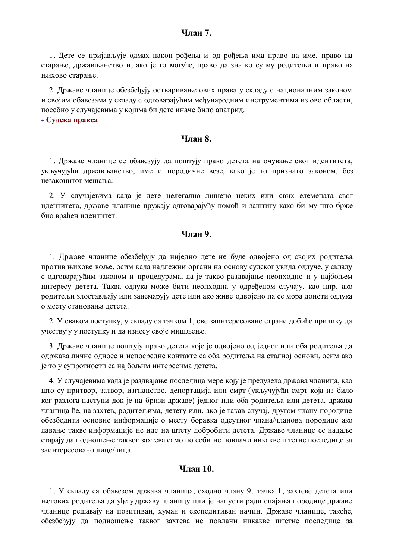#### **Члан 7.**

1. Дете се пријављује одмах након рођења и од рођења има право на име, право на старање, држављанство и, ако је то могуће, право да зна ко су му родитељи и право на њихово старање.

2. Државе чланице обезбеђују остваривање ових права у складу с националним законом и својим обавезама у складу с одговарајућим међународним инструментима из ове области, посебно у случајевима у којима би дете иначе било апатрид.

**<sup>+</sup> Судска пракса**

# **Члан 8.**

1. Државе чланице се обавезују да поштују право детета на очување свог идентитета, укључујући држављанство, име и породичне везе, како је то признато законом, без незаконитог мешања.

2. У случајевима када је дете нелегално лишено неких или свих елемената свог идентитета, државе чланице пружају одговарајућу помоћ и заштиту како би му што брже био враћен идентитет.

#### **Члан 9.**

1. Државе чланице обезбеђују да ниједно дете не буде одвојено од својих родитеља против њихове воље, осим када надлежни органи на основу судског увида одлуче, у складу с одговарајућим законом и процедурама, да је такво раздвајање неопходно и у најбољем интересу детета. Таква одлука може бити неопходна у одређеном случају, као нпр. ако родитељи злостављају или занемарују дете или ако живе одвојено па се мора донети одлука о месту становања детета.

2. У сваком поступку, у складу са тачком 1, све заинтересоване стране добиће прилику да учествују у поступку и да изнесу своје мишљење.

3. Државе чланице поштују право детета које је одвојено од једног или оба родитеља да одржава личне односе и непосредне контакте са оба родитеља на сталној основи, осим ако је то у супротности са најбољим интересима детета.

4. У случајевима када је раздвајање последица мере коју је предузела држава чланица, као што су притвор, затвор, изгнанство, депортација или смрт (укључујући смрт која из било ког разлога наступи док је на бризи државе) једног или оба родитеља или детета, држава чланица ће, на захтев, родитељима, детету или, ако је такав случај, другом члану породице обезбедити основне информације о месту боравка одсутног члана/чланова породице ако давање такве информације не иде на штету добробити детета. Државе чланице се надаље старају да подношење таквог захтева само по себи не повлачи никакве штетне последице за заинтересовано лице/лица.

# **Члан 10.**

1. У складу са обавезом држава чланица, сходно члану 9. тачка 1, захтеве детета или његових родитеља да уђе у државу чланицу или је напусти ради спајања породице државе чланице решавају на позитиван, хуман и експедитиван начин. Државе чланице, такође, обезбеђују да подношење таквог захтева не повлачи никакве штетне последице за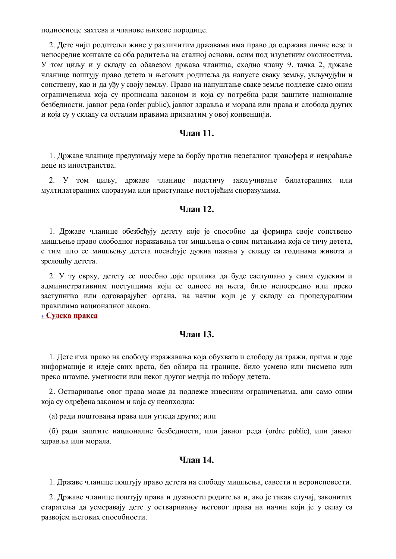подносиоце захтева и чланове њихове породице.

2. Дете чији родитељи живе у различитим државама има право да одржава личне везе и непосредне контакте са оба родитеља на сталној основи, осим под изузетним околностима. У том циљу и у складу са обавезом држава чланица, сходно члану 9. тачка 2, државе чланице поштују право детета и његових родитеља да напусте сваку земљу, укључујући и сопствену, као и да уђу у своју земљу. Право на напуштање сваке земље подлеже само оним ограничењима која су прописана законом и која су потребна ради заштите националне безбедности, јавног реда (order public), јавног здравља и морала или права и слобода других и која су у складу са осталим правима признатим у овој конвенцији.

#### **Члан 11.**

1. Државе чланице предузимају мере за борбу против нелегалног трансфера и невраћање деце из иностранства.

2. У том циљу, државе чланице подстичу закључивање билатералних или мултилатералних споразума или приступање постојећим споразумима.

#### **Члан 12.**

1. Државе чланице обезбеђују детету које је способно да формира своје сопствено мишљење право слободног изражавања тог мишљења о свим питањима која се тичу детета, с тим што се мишљењу детета посвећује дужна пажња у складу са годинама живота и зрелошћу детета.

2. У ту сврху, детету се посебно даје прилика да буде саслушано у свим судским и административним поступцима који се односе на њега, било непосредно или преко заступника или одговарајућег органа, на начин који је у складу са процедуралним правилима националног закона.

#### **<sup>+</sup> Судска пракса**

#### **Члан 13.**

1. Дете има право на слободу изражавања која обухвата и слободу да тражи, прима и даје информације и идеје свих врста, без обзира на границе, било усмено или писмено или преко штампе, уметности или неког другог медија по избору детета.

2. Остваривање овог права може да подлеже извесним ограничењима, али само оним која су одређена законом и која су неопходна:

(а) ради поштовања права или угледа других; или

(б) ради заштите националне безбедности, или јавног реда (ordre public), или јавног здравља или морала.

#### **Члан 14.**

1. Државе чланице поштују право детета на слободу мишљења, савести и вероисповести.

2. Државе чланице поштују права и дужности родитеља и, ако је такав случај, законитих старатеља да усмеравају дете у остваривању његовог права на начин који је у склау са развојем његових способности.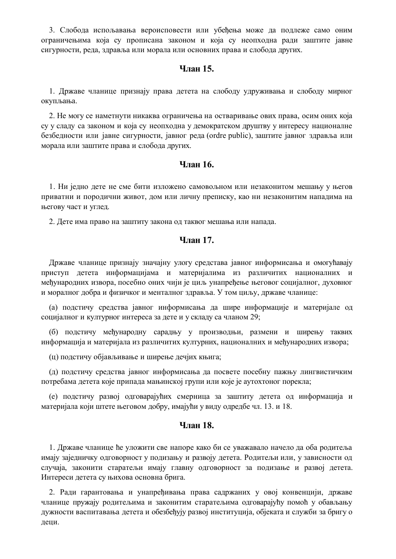3. Слобода испољавања вероисповести или убеђења може да подлеже само оним ограничењима која су прописана законом и која су неопходна ради заштите јавне сигурности, реда, здравља или морала или основних права и слобода других.

# **Члан 15.**

1. Државе чланице признају права детета на слободу удруживања и слободу мирног окупљања.

2. Не могу се наметнути никаква ограничења на остваривање ових права, осим оних која су у сладу са законом и која су неопходна у демократском друштву у интересу националне безбедности или јавне сигурности, јавног реда (ordre public), заштите јавног здравља или морала или заштите права и слобода других.

#### **Члан 16.**

1. Ни једно дете не сме бити изложено самовољном или незаконитом мешању у његов приватни и породични живот, дом или личну преписку, као ни незаконитим нападима на његову част и углед.

2. Дете има право на заштиту закона од таквог мешања или напада.

#### **Члан 17.**

Државе чланице признају значајну улогу средстава јавног информисања и омогућавају приступ детета информацијама и материјалима из различитих националних и међународних извора, посебно оних чији је циљ унапређење његовог социјалног, духовног и моралног добра и физичког и менталног здравља. У том циљу, државе чланице:

(а) подстичу средства јавног информисања да шире информације и материјале од социјалног и културног интереса за дете и у складу са чланом 29;

(б) подстичу међународну сарадњу у производњи, размени и ширењу таквих информација и материјала из различитих културних, националних и међународних извора;

(ц) подстичу објављивање и ширење дечјих књига;

(д) подстичу средства јавног информисања да посвете посебну пажњу лингвистичким потребама детета које припада мањинској групи или које је аутохтоног порекла;

(е) подстичу развој одговарајућих смерница за заштиту детета од информација и материјала који штете његовом добру, имајући у виду одредбе чл. 13. и 18.

#### **Члан 18.**

1. Државе чланице ће уложити све напоре како би се уважавало начело да оба родитеља имају заједничку одговорност у подизању и развоју детета. Родитељи или, у зависности од случаја, законити старатељи имају главну одговорност за подизање и развој детета. Интереси детета су њихова основна брига.

2. Ради гарантовања и унапређивања права садржаних у овој конвенцији, државе чланице пружају родитељима и законитим старатељима одговарајућу помоћ у обављању дужности васпитавања детета и обезбеђују развој институција, објеката и служби за бригу о деци.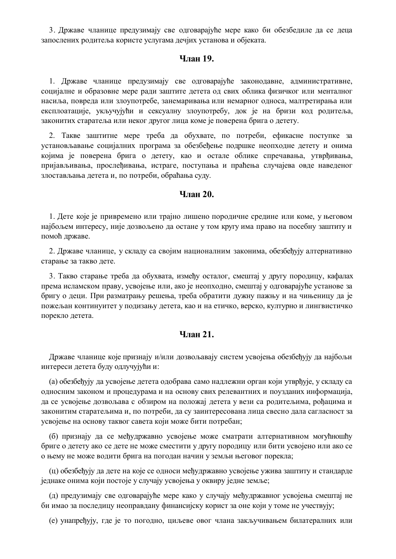3. Државе чланице предузимају све одговарајуће мере како би обезбедиле да се деца запослених родитеља користе услугама дечјих установа и објеката.

#### **Члан 19.**

1. Државе чланице предузимају све одговарајуће законодавне, административне, социјалне и образовне мере ради заштите детета од свих облика физичког или менталног насиља, повреда или злоупотребе, занемаривања или немарног односа, малтретирања или експлоатације, укључујући и сексуалну злоупотребу, док је на бризи код родитеља, законитих старатеља или неког другог лица коме је поверена брига о детету.

2. Такве заштитне мере треба да обухвате, по потреби, ефикасне поступке за установљавање социјалних програма за обезбеђење подршке неопходне детету и онима којима је поверена брига о детету, као и остале облике спречавања, утврђивања, пријављивања, прослеђивања, истраге, поступања и праћења случајева овде наведеног злостављања детета и, по потреби, обраћања суду.

# **Члан 20.**

1. Дете које је привремено или трајно лишено породичне средине или коме, у његовом најбољем интересу, није дозвољено да остане у том кругу има право на посебну заштиту и помоћ државе.

2. Државе чланице, у складу са својим националним законима, обезбеђују алтернативно старање за такво дете.

3. Такво старање треба да обухвата, између осталог, смештај у другу породицу, кафалах према исламском праву, усвојење или, ако је неопходно, смештај у одговарајуће установе за бригу о деци. При разматрању решења, треба обратити дужну пажњу и на чињеницу да је пожељан континуитет у подизању детета, као и на етичко, верско, културно и лингвистичко порекло детета.

# **Члан 21.**

Државе чланице које признају и/или дозвољавају систем усвојења обезбеђују да најбољи интереси детета буду одлучујући и:

(а) обезбеђују да усвојење детета одобрава само надлежни орган који утврђује, у складу са односним законом и процедурама и на основу свих релевантних и поузданих информација, да се усвојење дозвољава с обзиром на положај детета у вези са родитељима, рођацима и законитим старатељима и, по потреби, да су заинтересована лица свесно дала сагласност за усвојење на основу таквог савета који може бити потребан;

(б) признају да се међудржавно усвојење може сматрати алтернативном могућношћу бриге о детету ако се дете не може сместити у другу породицу или бити усвојено или ако се о њему не може водити брига на погодан начин у земљи његовог порекла;

(ц) обезбеђују да дете на које се односи међудржавно усвојење ужива заштиту и стандарде једнаке онима који постоје у случају усвојења у оквиру једне земље;

(д) предузимају све одговарајуће мере како у случају међудржавног усвојења смештај не би имао за последицу неоправдану финансијску корист за оне који у томе не учествују;

(е) унапређују, где је то погодно, циљеве овог члана закључивањем билатералних или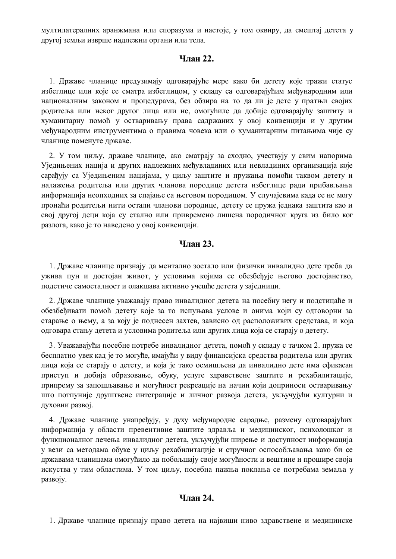мултилатералних аранжмана или споразума и настоје, у том оквиру, да смештај детета у другој земљи изврше надлежни органи или тела.

#### **Члан 22.**

1. Државе чланице предузимају одговарајуће мере како би детету које тражи статус избеглице или које се сматра избеглицом, у складу са одговарајућим међународним или националним законом и процедурама, без обзира на то да ли је дете у пратњи својих родитеља или неког другог лица или не, омогућиле да добије одговарајућу заштиту и хуманитарну помоћ у остваривању права садржаних у овој конвенцији и у другим међународним инструментима о правима човека или о хуманитарним питањима чије су чланице поменуте државе.

2. У том циљу, државе чланице, ако сматрају за сходно, учествују у свим напорима Уједињених нација и других надлежних међувладиних или невладиних организација које сарађују са Уједињеним нацијама, у циљу заштите и пружања помоћи таквом детету и налажења родитеља или других чланова породице детета избеглице ради прибављања информација неопходних за спајање са његовом породицом. У случајевима када се не могу пронаћи родитељи нити остали чланови породице, детету се пружа једнака заштита као и свој другој деци која су стално или привремено лишена породичног круга из било ког разлога, како је то наведено у овој конвенцији.

## **Члан 23.**

1. Државе чланице признају да ментално зостало или физички инвалидно дете треба да ужива пун и достојан живот, у условима којима се обезбеђује његово достојанство, подстиче самосталност и олакшава активно учешће детета у заједници.

2. Државе чланице уважавају право инвалидног детета на посебну негу и подстицаће и обезбеђивати помоћ детету које за то испуњава услове и онима који су одговорни за старање о њему, а за коју је поднесен захтев, зависно од расположивих средстава, и која одговара стању детета и условима родитеља или других лица која се старају о детету.

3. Уважавајући посебне потребе инвалидног детета, помоћ у складу с тачком 2. пружа се бесплатно увек кад је то могуће, имајући у виду финансијска средства родитеља или других лица која се старају о детету, и која је тако осмишљена да инвалидно дете има ефикасан приступ и добија образовање, обуку, услуге здравствене заштите и рехабилитације, припрему за запошљавање и могућност рекреације на начин који доприноси остваривању што потпуније друштвене интеграције и личног развоја детета, укључујући културни и духовни развој.

4. Државе чланице унапређују, у духу међународне сарадње, размену одговарајућих информација у области превентивне заштите здравља и медицинског, психолошког и функционалног лечења инвалидног детета, укључујући ширење и доступност информација у вези са методама обуке у циљу рехабилитације и стручног оспособљавања како би се државама чланицама омогућило да побољшају своје могућности и вештине и прошире своја искуства у тим областима. У том циљу, посебна пажња поклања се потребама земаља у развоју.

# **Члан 24.**

1. Државе чланице признају право детета на највиши ниво здравствене и медицинске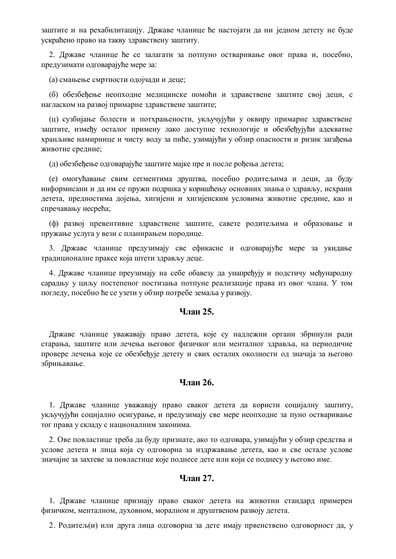заштите и на рехабилитацију. Државе чланице ће настојати да ни једном детету не буде ускраћено право на такву здравствену заштиту.

2. Државе чланице ће се залагати за потпуно остваривање овог права и, посебно, предузимати одговарајуће мере за:

(а) смањење смртности одојчади и деце;

(б) обезбеђење неопходне медицинске помоћи и здравствене заштите свој деци, с нагласком на развој примарне здравствене заштите;

(ц) сузбијање болести и потхрањености, укључујући у оквиру примарне здравствене заштите, између осталог примену лако доступне технологије и обезбеђујући адекватне хранљиве намирнице и чисту воду за пиће, узимајући у обзир опасности и ризик загађења животне средине;

(д) обезбеђење одговарајуће заштите мајке пре и после рођења детета;

(е) омогућавање свим сегментима друштва, посебно родитељима и деци, да буду информисани и да им се пружи подршка у коришћењу основних знања о здрављу, исхрани детета, предностима дојења, хигијени и хигијенским условима животне средине, као и спречавању несрећа;

(ф) развој превентивне здравствене заштите, савете родитељима и образовање и пружање услуга у вези с планирањем породице.

3. Државе чланице предузимају све ефикасне и одговарајуће мере за укидање традиционалне праксе која штети здрављу деце.

4. Државе чланице преузимају на себе обавезу да унапређују и подстичу међународну сарадњу у циљу постепеног постизања потпуне реализације права из овог члана. У том погледу, посебно ће се узети у обзир потребе земаља у развоју.

#### **Члан 25.**

Државе чланице уважавају право детета, које су надлежни органи збринули ради старања, заштите или лечења његовог физичког или менталног здравља, на периодичне провере лечења које се обезбеђује детету и свих осталих околности од значаја за његово збрињавање.

# **Члан 26.**

1. Државе чланице уважавају право сваког детета да користи социјалну заштиту, укључујући социјално осигурање, и предузимају све мере неопходне за пуно остваривање тог права у складу с националним законима.

2. Ове повластице треба да буду признате, ако то одговара, узимајући у обзир средства и услове детета и лица која су одговорна за издржавање детета, као и све остале услове значајне за захтеве за повластице које поднесе дете или који се поднесу у његово име.

# **Члан 27.**

1. Државе чланице признају право сваког детета на животни стандард примерен физичком, менталном, духовном, моралном и друштвеном развоју детета.

2. Родитељ(и) или друга лица одговорна за дете имају првенствено одговорност да, у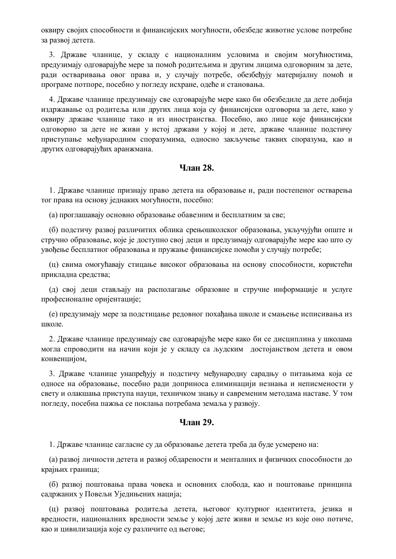оквиру својих способности и финансијских могућности, обезбеде животне услове потребне за развој детета.

3. Државе чланице, у складу с националним условима и својим могућностима, предузимају одговарајуће мере за помоћ родитељима и другим лицима одговорним за дете, ради остваривања овог права и, у случају потребе, обезбеђују материјалну помоћ и програме потпоре, посебно у погледу исхране, одеће и становања.

4. Државе чланице предузимају све одговарајуће мере како би обезбедиле да дете добија издржавање од родитеља или других лица која су финансијски одговорна за дете, како у оквиру државе чланице тако и из иностранства. Посебно, ако лице које финансијски одговорно за дете не живи у истој држави у којој и дете, државе чланице подстичу приступање међународним споразумима, односно закључење таквих споразума, као и других одговарајућих аранжмана.

# **Члан 28.**

1. Државе чланице признају право детета на образовање и, ради постепеног остварења тог права на основу једнаких могућности, посебно:

(а) проглашавају основно образовање обавезним и бесплатним за све;

(б) подстичу развој различитих облика срењошколског образовања, укључујући опште и стручно образовање, које је доступно свој деци и предузимају одговарајуће мере као што су увођење бесплатног образовања и пружање финансијске помоћи у случају потребе;

(ц) свима омогућавају стицање високог образовања на основу способности, користећи прикладна средства;

(д) свој деци стављају на располагање образовне и стручне информације и услуге професионалне оријентације;

(е) предузимају мере за подстицање редовног похађања школе и смањење исписивања из школе.

2. Државе чланице предузимају све одговарајуће мере како би се дисциплина у школама могла спроводити на начин који је у складу са људским достојанством детета и овом конвенцијом,

3. Државе чланице унапређују и подстичу међународну сарадњу о питањима која се односе на образовање, посебно ради доприноса елиминацији незнања и неписмености у свету и олакшања приступа науци, техничком знању и савременим методама наставе. У том погледу, посебна пажња се поклања потребама земаља у развоју.

# **Члан 29.**

1. Државе чланице сагласне су да образовање детета треба да буде усмерено на:

(а) развој личности детета и развој обдарености и менталних и физичких способности до крајњих граница;

(б) развој поштовања права човека и основних слобода, као и поштовање принципа садржаних у Повељи Уједињених нација;

(ц) развој поштовања родитеља детета, његовог културног идентитета, језика и вредности, националних вредности земље у којој дете живи и земље из које оно потиче, као и цивилизација које су различите од његове;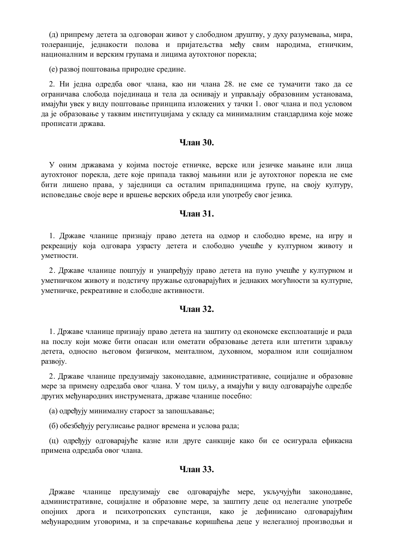(д) припрему детета за одговоран живот у слободном друштву, у духу разумевања, мира, толеранције, једнакости полова и пријатељства међу свим народима, етничким, националним и верским групама и лицима аутохтоног порекла;

(е) развој поштовања природне средине.

2. Ни једна одредба овог члана, као ни члана 28. не сме се тумачити тако да се ограничава слобода појединаца и тела да оснивају и управљају образовним установама, имајући увек у виду поштовање принципа изложених у тачки 1. овог члана и под условом да је образовање у таквим институцијама у складу са минималним стандардима које може прописати држава.

# **Члан 30.**

У оним државама у којима постоје етничке, верске или језичке мањине или лица аутохтоног порекла, дете које припада таквој мањини или је аутохтоног порекла не сме бити лишено права, у заједници са осталим припадницима групе, на своју културу, исповедање своје вере и вршење верских обреда или употребу свог језика.

#### **Члан 31.**

1. Државе чланице признају право детета на одмор и слободно време, на игру и рекреацију која одговара узрасту детета и слободно учешће у културном животу и уметности.

2. Државе чланице поштују и унапређују право детета на пуно учешће у културном и уметничком животу и подстичу пружање одговарајућих и једнаких могућности за културне, уметничке, рекреативне и слободне активности.

#### **Члан 32.**

1. Државе чланице признају право детета на заштиту од економске експлоатације и рада на послу који може бити опасан или ометати образовање детета или штетити здрављу детета, односно његовом физичком, менталном, духовном, моралном или социјалном развоју.

2. Државе чланице предузимају законодавне, административне, социјалне и образовне мере за примену одредаба овог члана. У том циљу, а имајући у виду одговарајуће одредбе других међународних инструмената, државе чланице посебно:

(а) одређују минималну старост за запошљавање;

(б) обезбеђују регулисање радног времена и услова рада;

(ц) одређују одговарајуће казне или друге санкције како би се осигурала ефикасна примена одредаба овог члана.

# **Члан 33.**

Државе чланице предузимају све одговарајуће мере, укључујући законодавне, административне, социјалне и образовне мере, за заштиту деце од нелегалне употребе опојних дрога и психотропских супстанци, како је дефинисано одговарајућим међународним уговорима, и за спречавање коришћења деце у нелегалној производњи и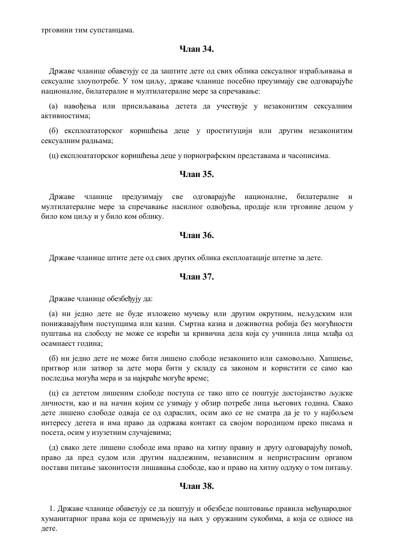трговини тим супстанцама.

## **Члан 34.**

Државе чланице обавезују се да заштите дете од свих облика сексуалног израбљивања и сексуалне злоупотребе. У том циљу, државе чланице посебно преузимају све одговарајуће националне, билатералне и мултилатералне мере за спречавање:

(а) навођења или присиљавања детета да учествује у незаконитим сексуалним активностима;

(б) експлоататорског коришћења деце у проституцији или другим незаконитим сексуалним радњама;

(ц) експлоататорског коришћења деце у порнографским представама и часописима.

#### **Члан 35.**

Државе чланице предузимају све одговарајуће националне, билатералне и мултилатералне мере за спречавање насилног одвођења, продаје или трговине децом у било ком циљу и у било ком облику.

#### **Члан 36.**

Државе чланице штите дете од свих других облика експлоатације штетне за дете.

#### **Члан 37.**

Државе чланице обезбеђују да:

(а) ни једно дете не буде изложено мучењу или другим окрутним, нељудским или понижавајућим поступцима или казни. Смртна казна и доживотна робија без могућности пуштања на слободу не може се изрећи за кривична дела која су учинила лица млађа од осамнаест година;

(б) ни једно дете не може бити лишено слободе незаконито или самовољно. Хапшење, притвор или затвор за дете мора бити у складу са законом и користити се само као последња могућа мера и за најкраће могуће време;

(ц) са дететом лишеним слободе поступа се тако што се поштује достојанство људске личности, као и на начин којим се узимају у обзир потребе лица његових година. Свако дете лишено слободе одваја се од одраслих, осим ако се не сматра да је то у најбољем интересу детета и има право да одржава контакт са својом породицом преко писама и посета, осим у изузетним случајевима;

(д) свако дете лишено слободе има право на хитну правну и другу одговарајућу помоћ, право да пред судом или другим надлежним, независним и непристрасним органом постави питање законитости лишавања слободе, као и право на хитну одлуку о том питању.

# **Члан 38.**

1. Државе чланице обавезују се да поштују и обезбеде поштовање правила међународног хуманитарног права која се примењују на њих у оружаним сукобима, а која се односе на дете.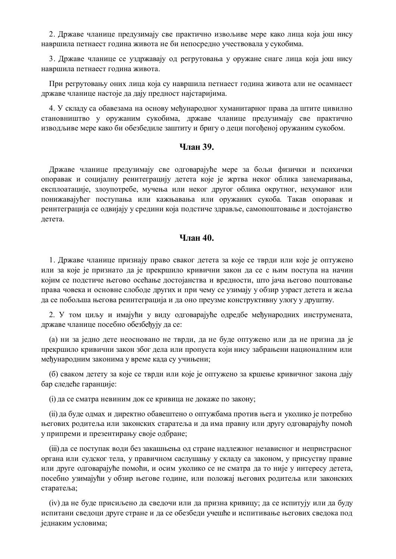2. Државе чланице предузимају све практично извољиве мере како лица која још нису навршила петнаест година живота не би непосредно учествовала у сукобима.

3. Државе чланице се уздржавају од регрутовања у оружане снаге лица која још нису навршила петнаест година живота.

При регрутовању оних лица која су навршила петнаест година живота али не осамнаест државе чланице настоје да дају предност најстаријима.

4. У складу са обавезама на основу међународног хуманитарног права да штите цивилно становништво у оружаним сукобима, државе чланице предузимају све практично изводљиве мере како би обезбедиле заштиту и бригу о деци погођеној оружаним сукобом.

#### **Члан 39.**

Државе чланице предузимају све одговарајуће мере за бољи физички и психички опоравак и социјалну реинтеграцију детета које је жртва неког облика занемаривања, експлоатације, злоупотребе, мучења или неког другог облика окрутног, нехуманог или понижавајућег поступања или кажњавања или оружаних сукоба. Такав опоравак и реинтеграција се одвијају у средини која подстиче здравље, самопоштовање и достојанство детета.

#### **Члан 40.**

1. Државе чланице признају право сваког детета за које се тврди или које је оптужено или за које је признато да је прекршило кривични закон да се с њим поступа на начин којим се подстиче његово осећање достојанства и вредности, што јача његово поштовање права човека и основне слободе других и при чему се узимају у обзир узраст детета и жеља да се побољша његова реинтеграција и да оно преузме конструктивну улогу у друштву.

2. У том циљу и имајући у виду одговарајуће одредбе међународних инструмената, државе чланице посебно обезбеђују да се:

(а) ни за једно дете неосновано не тврди, да не буде оптужено или да не призна да је прекршило кривични закон због дела или пропуста који нису забрањени националним или међународним законима у време када су учињени;

(б) сваком детету за које се тврди или које је оптужено за кршење кривичног закона дају бар следеће гаранције:

(i) да се сматра невиним док се кривица не докаже по закону;

(ii) да буде одмах и директно обавештено о оптужбама против њега и уколико је потребно његових родитеља или законских старатеља и да има правну или другу одговарајућу помоћ у припреми и презентирању своје одбране;

(iii) да се поступак води без закашњења од стране надлежног независног и непристрасног органа или судског тела, у правичном саслушању у складу са законом, у присуству правне или друге одговарајуће помоћи, и осим уколико се не сматра да то није у интересу детета, посебно узимајући у обзир његове године, или положај његових родитеља или законских старатеља;

(iv) да не буде присиљено да сведочи или да призна кривицу; да се испитују или да буду испитани сведоци друге стране и да се обезбеди учешће и испитивање његових сведока под једнаким условима;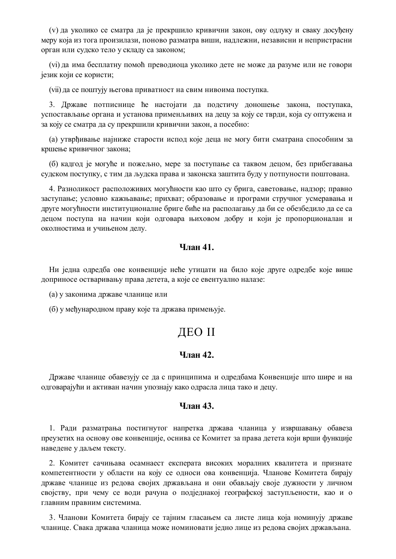(v) да уколико се сматра да је прекршило кривични закон, ову одлуку и сваку досуђену меру која из тога произилази, поново разматра виши, надлежни, независни и непристрасни орган или судско тело у складу са законом;

(vi) да има бесплатну помоћ преводиоца уколико дете не може да разуме или не говори језик који се користи;

(vii) да се поштују његова приватност на свим нивоима поступка.

3. Државе потписнице ће настојати да подстичу доношење закона, поступака, успостављање органа и установа применљивих на децу за коју се тврди, која су оптужена и за коју се сматра да су прекршили кривични закон, а посебно:

(а) утврђивање најниже старости испод које деца не могу бити сматрана способним за кршење кривичног закона;

(б) кадгод је могуће и пожељно, мере за поступање са таквом децом, без прибегавања судском поступку, с тим да људска права и законска заштита буду у потпуности поштована.

4. Разноликост расположивих могућности као што су брига, саветовање, надзор; правно заступање; условно кажњавање; прихват; образовање и програми стручног усмеравања и друге могућности институционалне бриге биће на располагању да би се обезбедило да се са децом поступа на начин који одговара њиховом добру и који је пропорционалан и околностима и учињеном делу.

#### **Члан 41.**

Ни једна одредба ове конвенције неће утицати на било које друге одредбе које више доприносе остваривању права детета, а које се евентуално налазе:

(а) у законима државе чланице или

(б) у међународном праву које та држава примењује.

# ДЕО II

# **Члан 42.**

Државе чланице обавезују се да с принципима и одредбама Конвенције што шире и на одговарајући и активан начин упознају како одрасла лица тако и децу.

# **Члан 43.**

1. Ради разматрања постигнутог напретка држава чланица у извршавању обавеза преузетих на основу ове конвенције, оснива се Комитет за права детета који врши функције наведене у даљем тексту.

2. Комитет сачињава осамнаест експерата високих моралних квалитета и признате компетентности у области на коју се односи ова конвенција. Чланове Комитета бирају државе чланице из редова својих држављана и они обављају своје дужности у личном својству, при чему се води рачуна о подједнакој географској заступљености, као и о главним правним системима.

3. Чланови Комитета бирају се тајним гласањем са листе лица која номинују државе чланице. Свака држава чланица може номиновати једно лице из редова својих држављана.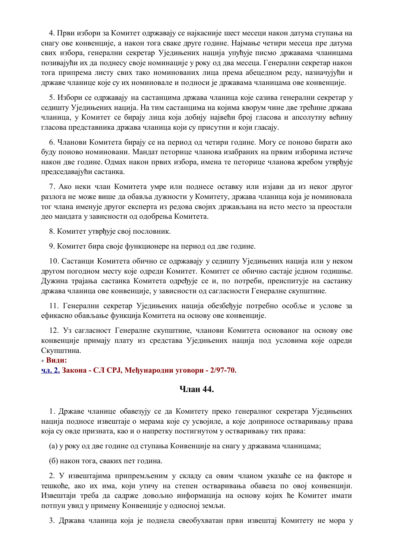4. Први избори за Комитет одржавају се најкасније шест месеци након датума ступања на снагу ове конвенције, а након тога сваке друге године. Најмање четири месеца пре датума свих избора, генерални секретар Уједињених нација упућује писмо државама чланицама позивајући их да поднесу своје номинације у року од два месеца. Генерални секретар након тога припрема листу свих тако номинованих лица према абецедном реду, назначујући и државе чланице које су их номиновале и подноси је државама чланицама ове конвенције.

5. Избори се одржавају на састанцима држава чланица које сазива генерални секретар у седишту Уједињених нација. На тим састанцима на којима кворум чине две трећине држава чланица, у Комитет се бирају лица која добију највећи број гласова и апсолутну већину гласова представника држава чланица који су присутни и који гласају.

6. Чланови Комитета бирају се на период од четири године. Могу се поново бирати ако буду поново номиновани. Мандат петорице чланова изабраних на првим изборима истиче након две године. Одмах након првих избора, имена те петорице чланова жребом утврђује председавајући састанка.

7. Ако неки члан Комитета умре или поднесе оставку или изјави да из неког другог разлога не може више да обавља дужности у Комитету, држава чланица која је номиновала тог члана именује другог експерта из редова својих држављана на исто место за преостали део мандата у зависности од одобрења Комитета.

8. Комитет утврђује свој пословник.

9. Комитет бира своје функционере на период од две године.

10. Састанци Комитета обично се одржавају у седишту Уједињених нација или у неком другом погодном месту које одреди Комитет. Комитет се обично састаје једном годишње. Дужина трајања састанка Комитета одређује се и, по потреби, преиспитује на састанку држава чланица ове конвенције, у зависности од сагласности Генералне скупштине.

11. Генерални секретар Уједињених нација обезбеђује потребно особље и услове за ефикасно обављање функција Комитета на основу ове конвенције.

12. Уз сагласност Генералне скупштине, чланови Комитета основаног на основу ове конвенције примају плату из средстава Уједињених нација под условима које одреди Скупштина.

**<sup>+</sup> Види:**

**чл. 2. Закона - СЛ СРЈ, Међународни уговори - 2/97-70.**

# **Члан 44.**

1. Државе чланице обавезују се да Комитету преко генералног секретара Уједињених нација подносе извештаје о мерама које су усвојиле, а које доприносе остваривању права која су овде призната, као и о напретку постигнутом у остваривању тих права:

(а) у року од две године од ступања Конвенције на снагу у државама чланицама;

(б) након тога, сваких пет година.

2. У извештајима припремљеним у складу са овим чланом указаће се на факторе и тешкоће, ако их има, који утичу на степен остваривања обавеза по овој конвенцији. Извештаји треба да садрже довољно информација на основу којих ће Комитет имати потпун увид у примену Конвенције у односној земљи.

3. Држава чланица која је поднела свеобухватан први извештај Комитету не мора у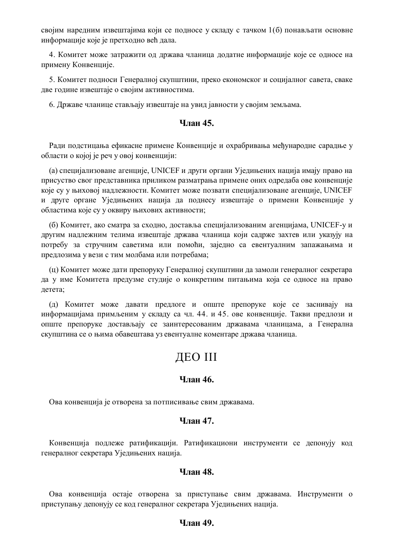својим наредним извештајима који се подносе у складу с тачком 1(б) понављати основне информације које је претходно већ дала.

4. Комитет може затражити од држава чланица додатне информације које се односе на примену Конвенције.

5. Комитет подноси Генералној скупштини, преко економског и социјалног савета, сваке две године извештаје о својим активностима.

6. Државе чланице стављају извештаје на увид јавности у својим земљама.

# **Члан 45.**

Ради подстицања ефикасне примене Конвенције и охрабривања међународне сарадње у области о којој је реч у овој конвенцији:

(а) специјализоване агенције, UNICEF и други органи Уједињених нација имају право на присуство свог представника приликом разматрања примене оних одредаба ове конвенције које су у њиховој надлежности. Комитет може позвати специјализоване агенције, UNICEF и друге органе Уједињених нација да поднесу извештаје о примени Конвенције у областима које су у оквиру њихових активности;

(б) Комитет, ако сматра за сходно, доставља специјализованим агенцијама, UNICEF-у и другим надлежним телима извештаје држава чланица који садрже захтев или указују на потребу за стручним саветима или помоћи, заједно са евентуалним запажањима и предлозима у вези с тим молбама или потребама;

(ц) Комитет може дати препоруку Генералној скупштини да замоли генералног секретара да у име Комитета предузме студије о конкретним питањима која се односе на право детета;

(д) Комитет може давати предлоге и опште препоруке које се заснивају на информацијама примљеним у складу са чл. 44. и 45. ове конвенције. Такви предлози и опште препоруке достављају се заинтересованим државама чланицама, а Генерална скупштина се о њима обавештава уз евентуалне коментаре држава чланица.

# ДЕО III

#### **Члан 46.**

Ова конвенција је отворена за потписивање свим државама.

# **Члан 47.**

Конвенција подлеже ратификацији. Ратификациони инструменти се депонују код генералног секретара Уједињених нација.

# **Члан 48.**

Ова конвенција остаје отворена за приступање свим државама. Инструменти о приступању депонују се код генералног секретара Уједињених нација.

# **Члан 49.**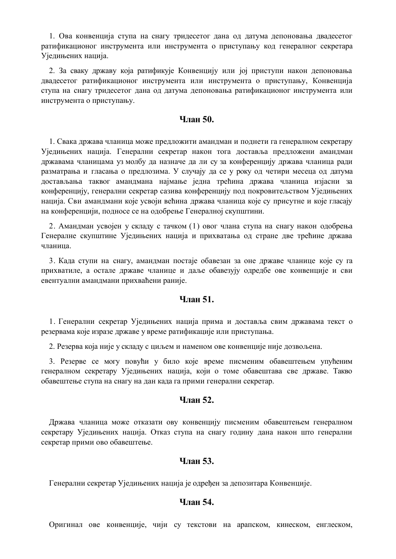1. Ова конвенција ступа на снагу тридесетог дана од датума депоновања двадесетог ратификационог инструмента или инструмента о приступању код генералног секретара Уједињених нација.

2. За сваку државу која ратификује Конвенцију или јој приступи након депоновања двадесетог ратификационог инструмента или инструмента о приступању, Конвенција ступа на снагу тридесетог дана од датума депоновања ратификационог инструмента или инструмента о приступању.

#### **Члан 50.**

1. Свака држава чланица може предложити амандман и поднети га генералном секретару Уједињених нација. Генерални секретар након тога доставља предложени амандман државама чланицама уз молбу да назначе да ли су за конференцију држава чланица ради разматрања и гласања о предлозима. У случају да се у року од четири месеца од датума достављања таквог амандмана најмање једна трећина држава чланица изјасни за конференцију, генерални секретар сазива конференцију под покровитељством Уједињених нација. Сви амандмани које усвоји већина држава чланица које су присутне и које гласају на конференцији, подносе се на одобрење Генералној скупштини.

2. Амандман усвојен у складу с тачком (1) овог члана ступа на снагу након одобрења Генералне скупштине Уједињених нација и прихватања од стране две трећине држава чланица.

3. Када ступи на снагу, амандман постаје обавезан за оне државе чланице које су га прихватиле, а остале државе чланице и даље обавезују одредбе ове конвенције и сви евентуални амандмани прихваћени раније.

#### **Члан 51.**

1. Генерални секретар Уједињених нација прима и доставља свим државама текст о резервама које изразе државе у време ратификације или приступања.

2. Резерва која није у складу с циљем и наменом ове конвенције није дозвољена.

3. Резерве се могу повући у било које време писменим обавештењем упућеним генералном секретару Уједињених нација, који о томе обавештава све државе. Такво обавештење ступа на снагу на дан када га прими генерални секретар.

#### **Члан 52.**

Држава чланица може отказати ову конвенцију писменим обавештењем генералном секретару Уједињених нација. Отказ ступа на снагу годину дана након што генерални секретар прими ово обавештење.

#### **Члан 53.**

Генерални секретар Уједињених нација је одређен за депозитара Конвенције.

#### **Члан 54.**

Оригинал ове конвенције, чији су текстови на арапском, кинеском, енглеском,